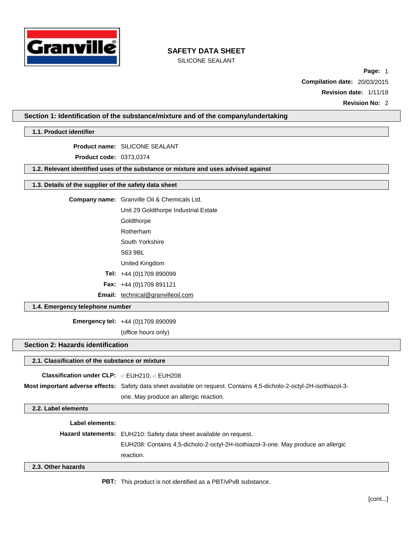

SILICONE SEALANT

**Page:** 1 **Compilation date:** 20/03/2015 **Revision date:** 1/11/18 **Revision No:** 2

**Section 1: Identification of the substance/mixture and of the company/undertaking**

**1.1. Product identifier**

**Product name:** SILICONE SEALANT

**Product code:** 0373,0374

**1.2. Relevant identified uses of the substance or mixture and uses advised against**

### **1.3. Details of the supplier of the safety data sheet**

| <b>Company name:</b> Granville Oil & Chemicals Ltd. |  |  |
|-----------------------------------------------------|--|--|
| Unit 29 Goldthorpe Industrial Estate                |  |  |

**Goldthorpe** 

Rotherham South Yorkshire

S63 9BL

United Kingdom

**Tel:** +44 (0)1709 890099

**Fax:** +44 (0)1709 891121

Email: [technical@granvilleoil.com](mailto:technical@granvilleoil.com)

### **1.4. Emergency telephone number**

**Emergency tel:** +44 (0)1709 890099

(office hours only)

# **Section 2: Hazards identification**

### **2.1. Classification of the substance or mixture**

| <b>Classification under CLP:</b> $\div$ EUH210: $\div$ EUH208 |                                                                                                                       |
|---------------------------------------------------------------|-----------------------------------------------------------------------------------------------------------------------|
|                                                               | Most important adverse effects: Safety data sheet available on request. Contains 4.5-dicholo-2-octyl-2H-isothiazol-3- |
|                                                               | one. May produce an allergic reaction.                                                                                |

**2.2. Label elements**

**Label elements:**

**Hazard statements:** EUH210: Safety data sheet available on request. EUH208: Contains 4,5-dicholo-2-octyl-2H-isothiazol-3-one. May produce an allergic reaction.

**2.3. Other hazards**

**PBT:** This product is not identified as a PBT/vPvB substance.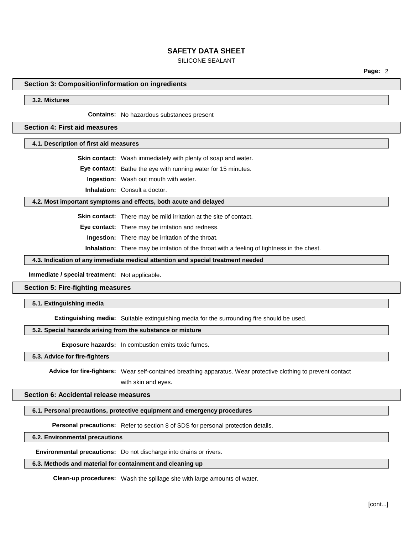### SILICONE SEALANT

**Page:** 2

#### **Section 3: Composition/information on ingredients**

### **3.2. Mixtures**

**Contains:** No hazardous substances present

### **Section 4: First aid measures**

**4.1. Description of first aid measures**

**Skin contact:** Wash immediately with plenty of soap and water.

**Eye contact:** Bathe the eye with running water for 15 minutes.

**Ingestion:** Wash out mouth with water.

**Inhalation:** Consult a doctor.

#### **4.2. Most important symptoms and effects, both acute and delayed**

**Skin contact:** There may be mild irritation at the site of contact.

**Eye contact:** There may be irritation and redness.

**Ingestion:** There may be irritation of the throat.

**Inhalation:** There may be irritation of the throat with a feeling of tightness in the chest.

### **4.3. Indication of any immediate medical attention and special treatment needed**

**Immediate / special treatment:** Not applicable.

### **Section 5: Fire-fighting measures**

**5.1. Extinguishing media**

**Extinguishing media:** Suitable extinguishing media for the surrounding fire should be used.

### **5.2. Special hazards arising from the substance or mixture**

**Exposure hazards:** In combustion emits toxic fumes.

#### **5.3. Advice for fire-fighters**

**Advice for fire-fighters:** Wear self-contained breathing apparatus. Wear protective clothing to prevent contact

with skin and eyes.

### **Section 6: Accidental release measures**

### **6.1. Personal precautions, protective equipment and emergency procedures**

**Personal precautions:** Refer to section 8 of SDS for personal protection details.

### **6.2. Environmental precautions**

**Environmental precautions:** Do not discharge into drains or rivers.

### **6.3. Methods and material for containment and cleaning up**

**Clean-up procedures:** Wash the spillage site with large amounts of water.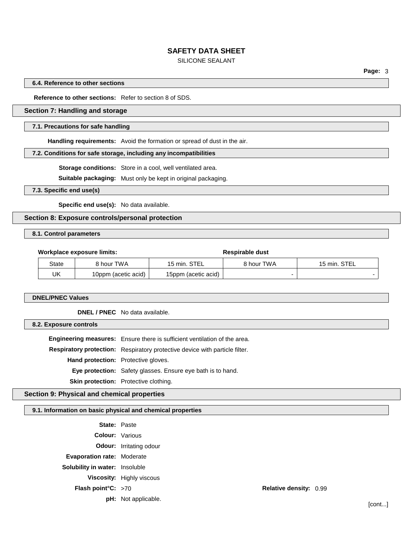### SILICONE SEALANT

**Page:** 3

#### **6.4. Reference to other sections**

**Reference to other sections:** Refer to section 8 of SDS.

## **Section 7: Handling and storage**

### **7.1. Precautions for safe handling**

**Handling requirements:** Avoid the formation or spread of dust in the air.

### **7.2. Conditions for safe storage, including any incompatibilities**

**Storage conditions:** Store in a cool, well ventilated area.

**Suitable packaging:** Must only be kept in original packaging.

**7.3. Specific end use(s)**

**Specific end use(s):** No data available.

## **Section 8: Exposure controls/personal protection**

## **8.1. Control parameters**

| Workplace exposure limits: |                     | Respirable dust     |            |              |
|----------------------------|---------------------|---------------------|------------|--------------|
| State                      | 8 hour TWA          | 15 min. STEL        | 8 hour TWA | 15 min. STEL |
| UK                         | 10ppm (acetic acid) | 15ppm (acetic acid) |            |              |

**DNEL/PNEC Values**

**DNEL / PNEC** No data available.

## **8.2. Exposure controls**

**Engineering measures:** Ensure there is sufficient ventilation of the area. **Respiratory protection:** Respiratory protective device with particle filter. **Hand protection:** Protective gloves. **Eye protection:** Safety glasses. Ensure eye bath is to hand. **Skin protection:** Protective clothing.

### **Section 9: Physical and chemical properties**

### **9.1. Information on basic physical and chemical properties**

| <b>State: Paste</b>                   |                                  |                               |  |
|---------------------------------------|----------------------------------|-------------------------------|--|
| <b>Colour:</b> Various                |                                  |                               |  |
|                                       | <b>Odour:</b> Irritating odour   |                               |  |
| <b>Evaporation rate: Moderate</b>     |                                  |                               |  |
| <b>Solubility in water:</b> Insoluble |                                  |                               |  |
|                                       | <b>Viscosity:</b> Highly viscous |                               |  |
| Flash point°C: >70                    |                                  | <b>Relative density: 0.99</b> |  |
|                                       | <b>pH:</b> Not applicable.       |                               |  |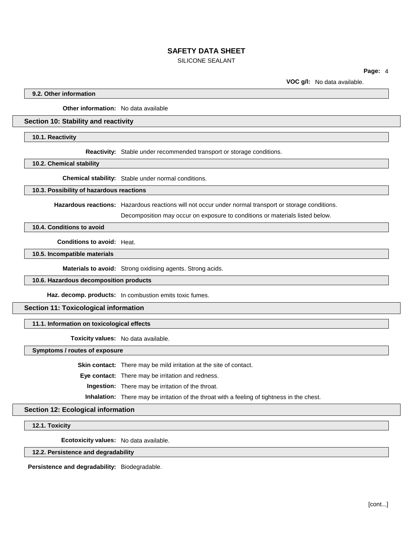### SILICONE SEALANT

**Page:** 4

**VOC g/l:** No data available.

**9.2. Other information**

**Other information:** No data available

### **Section 10: Stability and reactivity**

**10.1. Reactivity**

**Reactivity:** Stable under recommended transport or storage conditions.

**10.2. Chemical stability**

**Chemical stability:** Stable under normal conditions.

### **10.3. Possibility of hazardous reactions**

**Hazardous reactions:** Hazardous reactions will not occur under normal transport or storage conditions.

Decomposition may occur on exposure to conditions or materials listed below.

**10.4. Conditions to avoid**

**Conditions to avoid:** Heat.

**10.5. Incompatible materials**

**Materials to avoid:** Strong oxidising agents. Strong acids.

**10.6. Hazardous decomposition products**

**Haz. decomp. products:** In combustion emits toxic fumes.

## **Section 11: Toxicological information**

**11.1. Information on toxicological effects**

**Toxicity values:** No data available.

**Symptoms / routes of exposure**

**Skin contact:** There may be mild irritation at the site of contact.

**Eye contact:** There may be irritation and redness.

**Ingestion:** There may be irritation of the throat.

**Inhalation:** There may be irritation of the throat with a feeling of tightness in the chest.

### **Section 12: Ecological information**

**12.1. Toxicity**

**Ecotoxicity values:** No data available.

### **12.2. Persistence and degradability**

**Persistence and degradability:** Biodegradable.